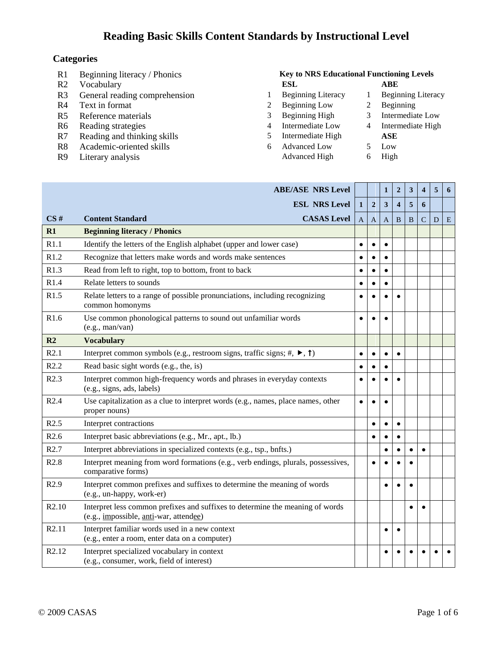#### **Categories**

- 
- 
- R3 General reading comprehension 1 Beginning Literacy 1 Beginning Literacy
- 
- R5 Reference materials 3 Beginning High 3 Intermediate Low
- R6 Reading strategies 4 Intermediate Low 4 Intermediate High<br>R7 Reading and thinking skills 5 Intermediate High ASE
- R7 Reading and thinking skills 5 Intermediate High **ASE**<br>R8 Academic-oriented skills 6 Advanced Low 5 Low
- R8 Academic-oriented skills 6 Advanced Low
- 

#### R1 Beginning literacy / Phonics **Key to NRS Educational Functioning Levels** R2 Vocabulary **ESL ABE**

- 
- R4 Text in format 2 Beginning Low 2 Beginning Low 2 Beginning
	-
	-
	-
	-
- 
- R9 Literary analysis Advanced High 6 High

|                          | <b>ABE/ASE NRS Level</b>                                                                                                                |              |                | $\mathbf{1}$ | $\boldsymbol{2}$        | 3 | $\overline{\mathbf{4}}$ | 5 | 6 |
|--------------------------|-----------------------------------------------------------------------------------------------------------------------------------------|--------------|----------------|--------------|-------------------------|---|-------------------------|---|---|
|                          | <b>ESL NRS Level</b>                                                                                                                    | $\mathbf{1}$ | $\overline{2}$ | 3            | $\overline{\mathbf{4}}$ | 5 | 6                       |   |   |
| CS#                      | <b>CASAS Level</b><br><b>Content Standard</b>                                                                                           | A            | A              | A            | B                       | B | C                       | D | E |
| $\overline{\mathbf{R}}$  | <b>Beginning literacy / Phonics</b>                                                                                                     |              |                |              |                         |   |                         |   |   |
| R1.1                     | Identify the letters of the English alphabet (upper and lower case)                                                                     |              |                | $\bullet$    |                         |   |                         |   |   |
| R1.2                     | Recognize that letters make words and words make sentences                                                                              |              |                |              |                         |   |                         |   |   |
| R1.3                     | Read from left to right, top to bottom, front to back                                                                                   |              |                | $\bullet$    |                         |   |                         |   |   |
| R1.4                     | Relate letters to sounds                                                                                                                |              |                | $\bullet$    |                         |   |                         |   |   |
| R1.5                     | Relate letters to a range of possible pronunciations, including recognizing<br>common homonyms                                          |              |                |              | $\bullet$               |   |                         |   |   |
| R <sub>1.6</sub>         | Use common phonological patterns to sound out unfamiliar words<br>(e.g., man/van)                                                       |              |                |              |                         |   |                         |   |   |
| $\overline{\mathbf{R2}}$ | <b>Vocabulary</b>                                                                                                                       |              |                |              |                         |   |                         |   |   |
| R2.1                     | Interpret common symbols (e.g., restroom signs, traffic signs; #, $\blacktriangleright$ , $\uparrow$ )                                  |              |                | $\bullet$    | $\bullet$               |   |                         |   |   |
| R2.2                     | Read basic sight words (e.g., the, is)                                                                                                  |              |                |              |                         |   |                         |   |   |
| R2.3                     | Interpret common high-frequency words and phrases in everyday contexts<br>(e.g., signs, ads, labels)                                    |              |                |              | $\bullet$               |   |                         |   |   |
| R2.4                     | Use capitalization as a clue to interpret words (e.g., names, place names, other<br>proper nouns)                                       |              |                |              |                         |   |                         |   |   |
| R2.5                     | Interpret contractions                                                                                                                  |              | $\bullet$      | $\bullet$    | $\bullet$               |   |                         |   |   |
| R2.6                     | Interpret basic abbreviations (e.g., Mr., apt., lb.)                                                                                    |              |                |              |                         |   |                         |   |   |
| R2.7                     | Interpret abbreviations in specialized contexts (e.g., tsp., bnfts.)                                                                    |              |                |              |                         |   |                         |   |   |
| R2.8                     | Interpret meaning from word formations (e.g., verb endings, plurals, possessives,<br>comparative forms)                                 |              |                |              |                         |   |                         |   |   |
| R2.9                     | Interpret common prefixes and suffixes to determine the meaning of words<br>(e.g., un-happy, work-er)                                   |              |                |              |                         |   |                         |   |   |
| R2.10                    | Interpret less common prefixes and suffixes to determine the meaning of words<br>(e.g., <i>impossible</i> , <i>anti</i> -war, attendee) |              |                |              |                         |   |                         |   |   |
| R2.11                    | Interpret familiar words used in a new context<br>(e.g., enter a room, enter data on a computer)                                        |              |                |              | $\epsilon$              |   |                         |   |   |
| R <sub>2.12</sub>        | Interpret specialized vocabulary in context<br>(e.g., consumer, work, field of interest)                                                |              |                |              |                         |   |                         |   |   |
|                          |                                                                                                                                         |              |                |              |                         |   |                         |   |   |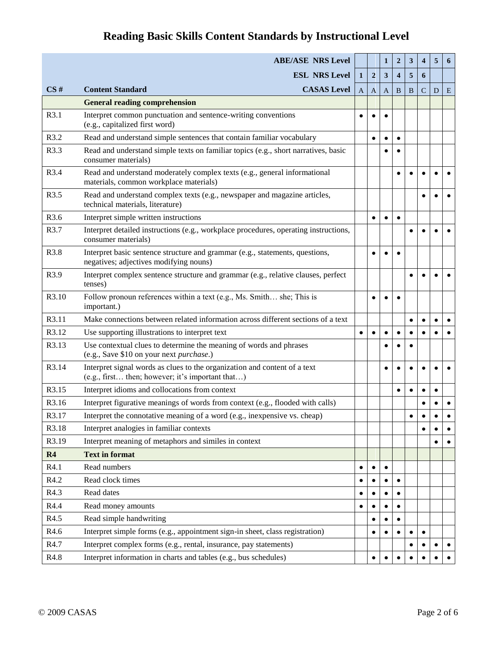|       | <b>ABE/ASE NRS Level</b>                                                                                                      |              |                  | 1         | $\overline{2}$          | 3         | $\overline{\mathbf{4}}$ | 5         | 6         |
|-------|-------------------------------------------------------------------------------------------------------------------------------|--------------|------------------|-----------|-------------------------|-----------|-------------------------|-----------|-----------|
|       | <b>ESL NRS Level</b>                                                                                                          | $\mathbf{1}$ | $\boldsymbol{2}$ | 3         | $\overline{\mathbf{4}}$ | 5         | 6                       |           |           |
| CS#   | <b>CASAS Level</b><br><b>Content Standard</b>                                                                                 | $\mathbf{A}$ | $\mathbf{A}$     | A         | B                       | B         | $\mathbf C$             | D         | E         |
|       | <b>General reading comprehension</b>                                                                                          |              |                  |           |                         |           |                         |           |           |
| R3.1  | Interpret common punctuation and sentence-writing conventions<br>(e.g., capitalized first word)                               |              |                  | $\bullet$ |                         |           |                         |           |           |
| R3.2  | Read and understand simple sentences that contain familiar vocabulary                                                         |              |                  | $\bullet$ |                         |           |                         |           |           |
| R3.3  | Read and understand simple texts on familiar topics (e.g., short narratives, basic<br>consumer materials)                     |              |                  |           |                         |           |                         |           |           |
| R3.4  | Read and understand moderately complex texts (e.g., general informational<br>materials, common workplace materials)           |              |                  |           | $\bullet$               |           |                         |           |           |
| R3.5  | Read and understand complex texts (e.g., newspaper and magazine articles,<br>technical materials, literature)                 |              |                  |           |                         |           |                         |           |           |
| R3.6  | Interpret simple written instructions                                                                                         |              |                  |           | $\bullet$               |           |                         |           |           |
| R3.7  | Interpret detailed instructions (e.g., workplace procedures, operating instructions,<br>consumer materials)                   |              |                  |           |                         |           |                         |           |           |
| R3.8  | Interpret basic sentence structure and grammar (e.g., statements, questions,<br>negatives; adjectives modifying nouns)        |              |                  |           |                         |           |                         |           |           |
| R3.9  | Interpret complex sentence structure and grammar (e.g., relative clauses, perfect<br>tenses)                                  |              |                  |           |                         | $\bullet$ |                         |           |           |
| R3.10 | Follow pronoun references within a text (e.g., Ms. Smith she; This is<br>important.)                                          |              |                  |           |                         |           |                         |           |           |
| R3.11 | Make connections between related information across different sections of a text                                              |              |                  |           |                         | $\bullet$ |                         | $\bullet$ |           |
| R3.12 | Use supporting illustrations to interpret text                                                                                | $\bullet$    | $\bullet$        | $\bullet$ | ٠                       |           |                         | $\bullet$ | $\bullet$ |
| R3.13 | Use contextual clues to determine the meaning of words and phrases<br>(e.g., Save \$10 on your next purchase.)                |              |                  |           |                         |           |                         |           |           |
| R3.14 | Interpret signal words as clues to the organization and content of a text<br>(e.g., first then; however; it's important that) |              |                  | $\bullet$ | $\bullet$               |           |                         |           |           |
| R3.15 | Interpret idioms and collocations from context                                                                                |              |                  |           | $\bullet$               |           |                         | $\bullet$ |           |
| R3.16 | Interpret figurative meanings of words from context (e.g., flooded with calls)                                                |              |                  |           |                         |           |                         |           |           |
| R3.17 | Interpret the connotative meaning of a word (e.g., inexpensive vs. cheap)                                                     |              |                  |           |                         |           |                         |           |           |
| R3.18 | Interpret analogies in familiar contexts                                                                                      |              |                  |           |                         |           |                         |           |           |
| R3.19 | Interpret meaning of metaphors and similes in context                                                                         |              |                  |           |                         |           |                         |           |           |
| R4    | <b>Text in format</b>                                                                                                         |              |                  |           |                         |           |                         |           |           |
| R4.1  | Read numbers                                                                                                                  |              |                  | $\bullet$ |                         |           |                         |           |           |
| R4.2  | Read clock times                                                                                                              |              |                  | $\bullet$ | $\bullet$               |           |                         |           |           |
| R4.3  | Read dates                                                                                                                    |              |                  |           |                         |           |                         |           |           |
| R4.4  | Read money amounts                                                                                                            |              |                  |           |                         |           |                         |           |           |
| R4.5  | Read simple handwriting                                                                                                       |              |                  | $\bullet$ | ٠                       |           |                         |           |           |
| R4.6  | Interpret simple forms (e.g., appointment sign-in sheet, class registration)                                                  |              |                  |           |                         |           |                         |           |           |
| R4.7  | Interpret complex forms (e.g., rental, insurance, pay statements)                                                             |              |                  |           |                         |           |                         | $\bullet$ |           |
| R4.8  | Interpret information in charts and tables (e.g., bus schedules)                                                              |              |                  |           |                         |           |                         |           |           |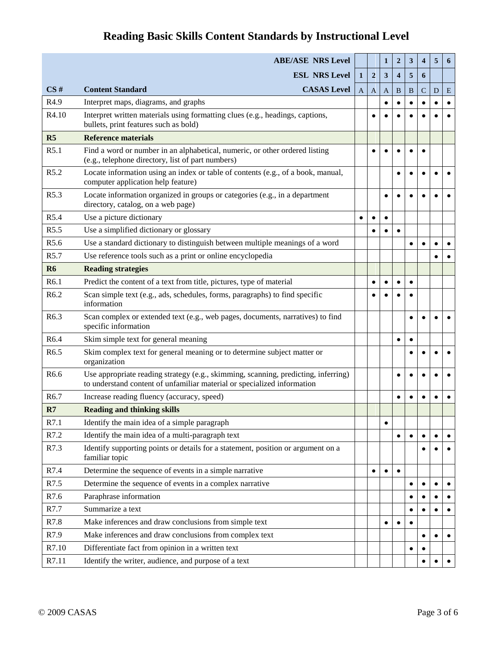|                  | <b>ABE/ASE NRS Level</b>                                                                                                                                      |              |                | 1         | $\boldsymbol{2}$        | 3         | 4           | 5         | 6 |
|------------------|---------------------------------------------------------------------------------------------------------------------------------------------------------------|--------------|----------------|-----------|-------------------------|-----------|-------------|-----------|---|
|                  | <b>ESL NRS Level</b>                                                                                                                                          | $\mathbf{1}$ | $\overline{2}$ | 3         | $\overline{\mathbf{4}}$ | 5         | 6           |           |   |
| CS#              | <b>CASAS Level</b><br><b>Content Standard</b>                                                                                                                 | $\mathbf{A}$ | A              | A         | B                       | B         | $\mathbf C$ | D         | E |
| R <sub>4.9</sub> | Interpret maps, diagrams, and graphs                                                                                                                          |              |                | $\bullet$ |                         |           |             |           |   |
| R4.10            | Interpret written materials using formatting clues (e.g., headings, captions,<br>bullets, print features such as bold)                                        |              |                |           |                         |           |             |           |   |
| R <sub>5</sub>   | <b>Reference materials</b>                                                                                                                                    |              |                |           |                         |           |             |           |   |
| R5.1             | Find a word or number in an alphabetical, numeric, or other ordered listing<br>(e.g., telephone directory, list of part numbers)                              |              |                | $\bullet$ |                         |           | $\bullet$   |           |   |
| R5.2             | Locate information using an index or table of contents (e.g., of a book, manual,<br>computer application help feature)                                        |              |                |           | $\bullet$               |           |             |           |   |
| R5.3             | Locate information organized in groups or categories (e.g., in a department<br>directory, catalog, on a web page)                                             |              |                | $\bullet$ | $\bullet$               |           |             |           |   |
| R <sub>5.4</sub> | Use a picture dictionary                                                                                                                                      | $\bullet$    |                | $\bullet$ |                         |           |             |           |   |
| R <sub>5.5</sub> | Use a simplified dictionary or glossary                                                                                                                       |              |                | $\bullet$ | $\bullet$               |           |             |           |   |
| R <sub>5.6</sub> | Use a standard dictionary to distinguish between multiple meanings of a word                                                                                  |              |                |           |                         | $\bullet$ |             |           |   |
| R5.7             | Use reference tools such as a print or online encyclopedia                                                                                                    |              |                |           |                         |           |             |           |   |
| <b>R6</b>        | <b>Reading strategies</b>                                                                                                                                     |              |                |           |                         |           |             |           |   |
| R <sub>6.1</sub> | Predict the content of a text from title, pictures, type of material                                                                                          |              | $\bullet$      | $\bullet$ | $\bullet$               |           |             |           |   |
| R <sub>6.2</sub> | Scan simple text (e.g., ads, schedules, forms, paragraphs) to find specific<br>information                                                                    |              |                |           |                         |           |             |           |   |
| R <sub>6.3</sub> | Scan complex or extended text (e.g., web pages, documents, narratives) to find<br>specific information                                                        |              |                |           |                         |           |             |           |   |
| R6.4             | Skim simple text for general meaning                                                                                                                          |              |                |           | $\bullet$               | $\bullet$ |             |           |   |
| R <sub>6.5</sub> | Skim complex text for general meaning or to determine subject matter or<br>organization                                                                       |              |                |           |                         | $\bullet$ |             |           |   |
| R <sub>6.6</sub> | Use appropriate reading strategy (e.g., skimming, scanning, predicting, inferring)<br>to understand content of unfamiliar material or specialized information |              |                |           |                         |           |             |           |   |
| R <sub>6.7</sub> | Increase reading fluency (accuracy, speed)                                                                                                                    |              |                |           | $\bullet$               |           |             |           |   |
| R7               | <b>Reading and thinking skills</b>                                                                                                                            |              |                |           |                         |           |             |           |   |
| R7.1             | Identify the main idea of a simple paragraph                                                                                                                  |              |                | $\bullet$ |                         |           |             |           |   |
| R7.2             | Identify the main idea of a multi-paragraph text                                                                                                              |              |                |           | ٠                       |           |             | $\bullet$ |   |
| R7.3             | Identify supporting points or details for a statement, position or argument on a<br>familiar topic                                                            |              |                |           |                         |           |             |           |   |
| R7.4             | Determine the sequence of events in a simple narrative                                                                                                        |              | $\bullet$      | $\bullet$ | $\bullet$               |           |             |           |   |
| R7.5             | Determine the sequence of events in a complex narrative                                                                                                       |              |                |           |                         | $\bullet$ |             | $\bullet$ |   |
| R7.6             | Paraphrase information                                                                                                                                        |              |                |           |                         |           |             |           |   |
| R7.7             | Summarize a text                                                                                                                                              |              |                |           |                         | $\bullet$ | ٠           |           |   |
| R7.8             | Make inferences and draw conclusions from simple text                                                                                                         |              |                | $\bullet$ |                         |           |             |           |   |
| R7.9             | Make inferences and draw conclusions from complex text                                                                                                        |              |                |           |                         |           |             | $\bullet$ |   |
| R7.10            | Differentiate fact from opinion in a written text                                                                                                             |              |                |           |                         | $\bullet$ |             |           |   |
| R7.11            | Identify the writer, audience, and purpose of a text                                                                                                          |              |                |           |                         |           |             |           |   |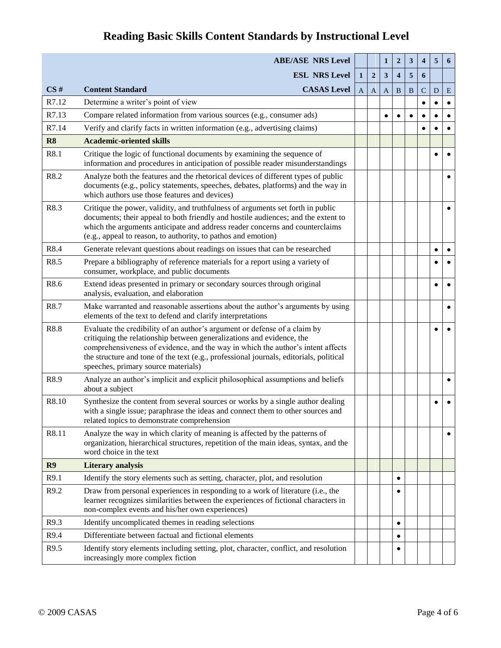|                | <b>ABE/ASE NRS Level</b>                                                                                                                                                                                                                                                                                                                                               |              |                | 1                       | $\boldsymbol{2}$        | 3 | 4            | 5         | 6 |
|----------------|------------------------------------------------------------------------------------------------------------------------------------------------------------------------------------------------------------------------------------------------------------------------------------------------------------------------------------------------------------------------|--------------|----------------|-------------------------|-------------------------|---|--------------|-----------|---|
|                | <b>ESL NRS Level</b>                                                                                                                                                                                                                                                                                                                                                   | $\mathbf{1}$ | $\overline{2}$ | $\overline{\mathbf{3}}$ | $\overline{\mathbf{4}}$ | 5 | 6            |           |   |
| CS#            | <b>CASAS</b> Level<br><b>Content Standard</b>                                                                                                                                                                                                                                                                                                                          | A            | $\mathbf{A}$   | A                       | B                       | B | $\mathsf{C}$ | D         | E |
| R7.12          | Determine a writer's point of view                                                                                                                                                                                                                                                                                                                                     |              |                |                         |                         |   |              | $\bullet$ |   |
| R7.13          | Compare related information from various sources (e.g., consumer ads)                                                                                                                                                                                                                                                                                                  |              |                | $\bullet$               |                         |   |              |           |   |
| R7.14          | Verify and clarify facts in written information (e.g., advertising claims)                                                                                                                                                                                                                                                                                             |              |                |                         |                         |   |              |           |   |
| R <sub>8</sub> | <b>Academic-oriented skills</b>                                                                                                                                                                                                                                                                                                                                        |              |                |                         |                         |   |              |           |   |
| R8.1           | Critique the logic of functional documents by examining the sequence of<br>information and procedures in anticipation of possible reader misunderstandings                                                                                                                                                                                                             |              |                |                         |                         |   |              |           |   |
| R8.2           | Analyze both the features and the rhetorical devices of different types of public<br>documents (e.g., policy statements, speeches, debates, platforms) and the way in<br>which authors use those features and devices)                                                                                                                                                 |              |                |                         |                         |   |              |           |   |
| R8.3           | Critique the power, validity, and truthfulness of arguments set forth in public<br>documents; their appeal to both friendly and hostile audiences; and the extent to<br>which the arguments anticipate and address reader concerns and counterclaims<br>(e.g., appeal to reason, to authority, to pathos and emotion)                                                  |              |                |                         |                         |   |              |           |   |
| R8.4           | Generate relevant questions about readings on issues that can be researched                                                                                                                                                                                                                                                                                            |              |                |                         |                         |   |              | $\bullet$ |   |
| R8.5           | Prepare a bibliography of reference materials for a report using a variety of<br>consumer, workplace, and public documents                                                                                                                                                                                                                                             |              |                |                         |                         |   |              |           |   |
| R8.6           | Extend ideas presented in primary or secondary sources through original<br>analysis, evaluation, and elaboration                                                                                                                                                                                                                                                       |              |                |                         |                         |   |              |           |   |
| R8.7           | Make warranted and reasonable assertions about the author's arguments by using<br>elements of the text to defend and clarify interpretations                                                                                                                                                                                                                           |              |                |                         |                         |   |              |           |   |
| R8.8           | Evaluate the credibility of an author's argument or defense of a claim by<br>critiquing the relationship between generalizations and evidence, the<br>comprehensiveness of evidence, and the way in which the author's intent affects<br>the structure and tone of the text (e.g., professional journals, editorials, political<br>speeches, primary source materials) |              |                |                         |                         |   |              |           |   |
| R8.9           | Analyze an author's implicit and explicit philosophical assumptions and beliefs<br>about a subject                                                                                                                                                                                                                                                                     |              |                |                         |                         |   |              |           |   |
| R8.10          | Synthesize the content from several sources or works by a single author dealing<br>with a single issue; paraphrase the ideas and connect them to other sources and<br>related topics to demonstrate comprehension                                                                                                                                                      |              |                |                         |                         |   |              |           |   |
| R8.11          | Analyze the way in which clarity of meaning is affected by the patterns of<br>organization, hierarchical structures, repetition of the main ideas, syntax, and the<br>word choice in the text                                                                                                                                                                          |              |                |                         |                         |   |              |           |   |
| R9             | <b>Literary analysis</b>                                                                                                                                                                                                                                                                                                                                               |              |                |                         |                         |   |              |           |   |
| R9.1           | Identify the story elements such as setting, character, plot, and resolution                                                                                                                                                                                                                                                                                           |              |                |                         | $\bullet$               |   |              |           |   |
| R9.2           | Draw from personal experiences in responding to a work of literature (i.e., the<br>learner recognizes similarities between the experiences of fictional characters in<br>non-complex events and his/her own experiences)                                                                                                                                               |              |                |                         |                         |   |              |           |   |
| R9.3           | Identify uncomplicated themes in reading selections                                                                                                                                                                                                                                                                                                                    |              |                |                         | ٠                       |   |              |           |   |
| R9.4           | Differentiate between factual and fictional elements                                                                                                                                                                                                                                                                                                                   |              |                |                         |                         |   |              |           |   |
| R9.5           | Identify story elements including setting, plot, character, conflict, and resolution<br>increasingly more complex fiction                                                                                                                                                                                                                                              |              |                |                         |                         |   |              |           |   |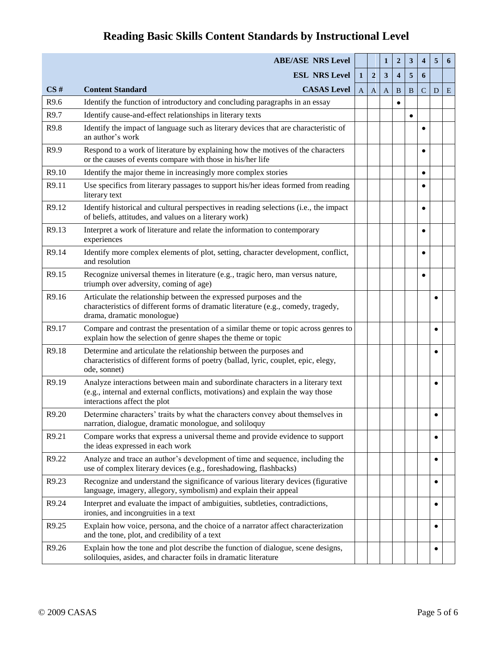|       | <b>ABE/ASE NRS Level</b>                                                                                                                                                                          |              |                | $\mathbf{1}$ | $\overline{2}$          | 3         | $\overline{\mathbf{4}}$ | 5         | 6 |
|-------|---------------------------------------------------------------------------------------------------------------------------------------------------------------------------------------------------|--------------|----------------|--------------|-------------------------|-----------|-------------------------|-----------|---|
|       | <b>ESL NRS Level</b>                                                                                                                                                                              | $\mathbf{1}$ | $\overline{2}$ | 3            | $\overline{\mathbf{4}}$ | 5         | 6                       |           |   |
| CS#   | <b>CASAS Level</b><br><b>Content Standard</b>                                                                                                                                                     | $\mathbf{A}$ | A              | A            | B                       | B         | $\mathsf{C}$            | D         | E |
| R9.6  | Identify the function of introductory and concluding paragraphs in an essay                                                                                                                       |              |                |              | $\bullet$               |           |                         |           |   |
| R9.7  | Identify cause-and-effect relationships in literary texts                                                                                                                                         |              |                |              |                         | $\bullet$ |                         |           |   |
| R9.8  | Identify the impact of language such as literary devices that are characteristic of<br>an author's work                                                                                           |              |                |              |                         |           |                         |           |   |
| R9.9  | Respond to a work of literature by explaining how the motives of the characters<br>or the causes of events compare with those in his/her life                                                     |              |                |              |                         |           | $\bullet$               |           |   |
| R9.10 | Identify the major theme in increasingly more complex stories                                                                                                                                     |              |                |              |                         |           | $\bullet$               |           |   |
| R9.11 | Use specifics from literary passages to support his/her ideas formed from reading<br>literary text                                                                                                |              |                |              |                         |           |                         |           |   |
| R9.12 | Identify historical and cultural perspectives in reading selections (i.e., the impact<br>of beliefs, attitudes, and values on a literary work)                                                    |              |                |              |                         |           |                         |           |   |
| R9.13 | Interpret a work of literature and relate the information to contemporary<br>experiences                                                                                                          |              |                |              |                         |           |                         |           |   |
| R9.14 | Identify more complex elements of plot, setting, character development, conflict,<br>and resolution                                                                                               |              |                |              |                         |           |                         |           |   |
| R9.15 | Recognize universal themes in literature (e.g., tragic hero, man versus nature,<br>triumph over adversity, coming of age)                                                                         |              |                |              |                         |           | $\bullet$               |           |   |
| R9.16 | Articulate the relationship between the expressed purposes and the<br>characteristics of different forms of dramatic literature (e.g., comedy, tragedy,<br>drama, dramatic monologue)             |              |                |              |                         |           |                         |           |   |
| R9.17 | Compare and contrast the presentation of a similar theme or topic across genres to<br>explain how the selection of genre shapes the theme or topic                                                |              |                |              |                         |           |                         | $\bullet$ |   |
| R9.18 | Determine and articulate the relationship between the purposes and<br>characteristics of different forms of poetry (ballad, lyric, couplet, epic, elegy,<br>ode, sonnet)                          |              |                |              |                         |           |                         |           |   |
| R9.19 | Analyze interactions between main and subordinate characters in a literary text<br>(e.g., internal and external conflicts, motivations) and explain the way those<br>interactions affect the plot |              |                |              |                         |           |                         | $\bullet$ |   |
| R9.20 | Determine characters' traits by what the characters convey about themselves in<br>narration, dialogue, dramatic monologue, and soliloquy                                                          |              |                |              |                         |           |                         | $\bullet$ |   |
| R9.21 | Compare works that express a universal theme and provide evidence to support<br>the ideas expressed in each work                                                                                  |              |                |              |                         |           |                         | $\bullet$ |   |
| R9.22 | Analyze and trace an author's development of time and sequence, including the<br>use of complex literary devices (e.g., foreshadowing, flashbacks)                                                |              |                |              |                         |           |                         | $\bullet$ |   |
| R9.23 | Recognize and understand the significance of various literary devices (figurative<br>language, imagery, allegory, symbolism) and explain their appeal                                             |              |                |              |                         |           |                         | $\bullet$ |   |
| R9.24 | Interpret and evaluate the impact of ambiguities, subtleties, contradictions,<br>ironies, and incongruities in a text                                                                             |              |                |              |                         |           |                         | $\bullet$ |   |
| R9.25 | Explain how voice, persona, and the choice of a narrator affect characterization<br>and the tone, plot, and credibility of a text                                                                 |              |                |              |                         |           |                         |           |   |
| R9.26 | Explain how the tone and plot describe the function of dialogue, scene designs,<br>soliloquies, asides, and character foils in dramatic literature                                                |              |                |              |                         |           |                         |           |   |